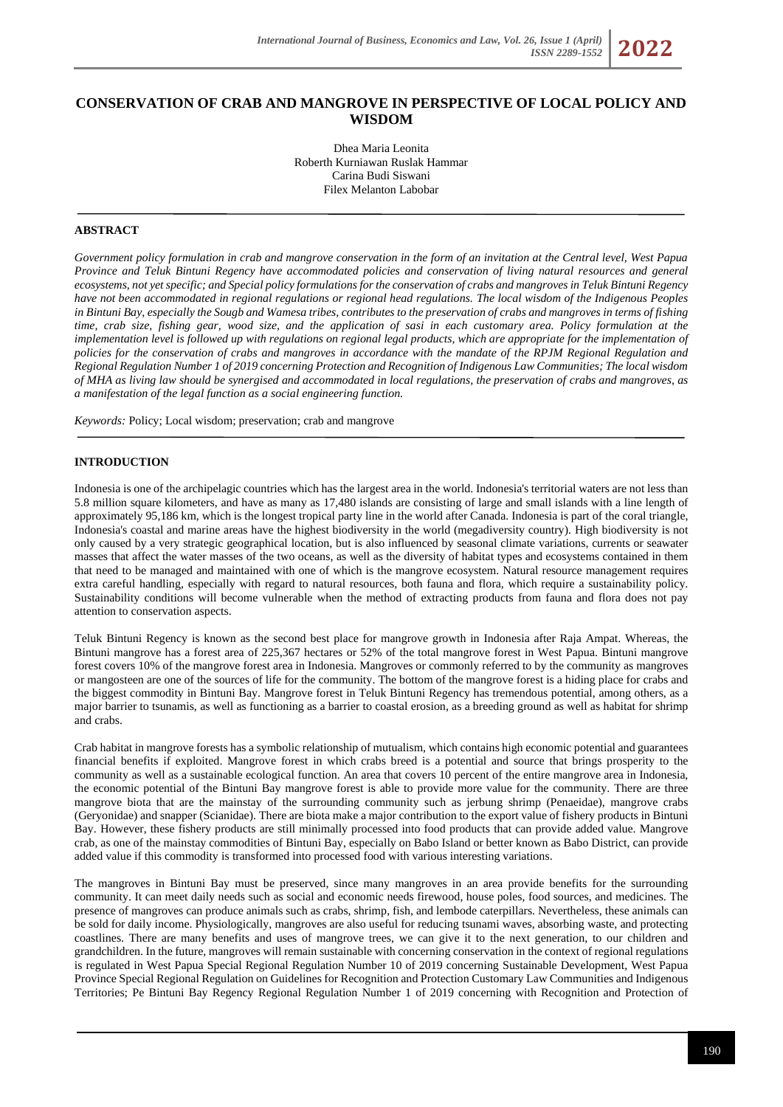# **CONSERVATION OF CRAB AND MANGROVE IN PERSPECTIVE OF LOCAL POLICY AND WISDOM**

Dhea Maria Leonita Roberth Kurniawan Ruslak Hammar Carina Budi Siswani Filex Melanton Labobar

### **ABSTRACT**

*Government policy formulation in crab and mangrove conservation in the form of an invitation at the Central level, West Papua Province and Teluk Bintuni Regency have accommodated policies and conservation of living natural resources and general ecosystems, not yet specific; and Special policy formulations for the conservation of crabs and mangroves in Teluk Bintuni Regency have not been accommodated in regional regulations or regional head regulations. The local wisdom of the Indigenous Peoples in Bintuni Bay, especially the Sougb and Wamesa tribes, contributes to the preservation of crabs and mangroves in terms of fishing time, crab size, fishing gear, wood size, and the application of sasi in each customary area. Policy formulation at the implementation level is followed up with regulations on regional legal products, which are appropriate for the implementation of policies for the conservation of crabs and mangroves in accordance with the mandate of the RPJM Regional Regulation and Regional Regulation Number 1 of 2019 concerning Protection and Recognition of Indigenous Law Communities; The local wisdom of MHA as living law should be synergised and accommodated in local regulations, the preservation of crabs and mangroves, as a manifestation of the legal function as a social engineering function.*

*Keywords:* Policy; Local wisdom; preservation; crab and mangrove

# **INTRODUCTION**

Indonesia is one of the archipelagic countries which has the largest area in the world. Indonesia's territorial waters are not less than 5.8 million square kilometers, and have as many as 17,480 islands are consisting of large and small islands with a line length of approximately 95,186 km, which is the longest tropical party line in the world after Canada. Indonesia is part of the coral triangle, Indonesia's coastal and marine areas have the highest biodiversity in the world (megadiversity country). High biodiversity is not only caused by a very strategic geographical location, but is also influenced by seasonal climate variations, currents or seawater masses that affect the water masses of the two oceans, as well as the diversity of habitat types and ecosystems contained in them that need to be managed and maintained with one of which is the mangrove ecosystem. Natural resource management requires extra careful handling, especially with regard to natural resources, both fauna and flora, which require a sustainability policy. Sustainability conditions will become vulnerable when the method of extracting products from fauna and flora does not pay attention to conservation aspects.

Teluk Bintuni Regency is known as the second best place for mangrove growth in Indonesia after Raja Ampat. Whereas, the Bintuni mangrove has a forest area of 225,367 hectares or 52% of the total mangrove forest in West Papua. Bintuni mangrove forest covers 10% of the mangrove forest area in Indonesia. Mangroves or commonly referred to by the community as mangroves or mangosteen are one of the sources of life for the community. The bottom of the mangrove forest is a hiding place for crabs and the biggest commodity in Bintuni Bay. Mangrove forest in Teluk Bintuni Regency has tremendous potential, among others, as a major barrier to tsunamis, as well as functioning as a barrier to coastal erosion, as a breeding ground as well as habitat for shrimp and crabs.

Crab habitat in mangrove forests has a symbolic relationship of mutualism, which contains high economic potential and guarantees financial benefits if exploited. Mangrove forest in which crabs breed is a potential and source that brings prosperity to the community as well as a sustainable ecological function. An area that covers 10 percent of the entire mangrove area in Indonesia, the economic potential of the Bintuni Bay mangrove forest is able to provide more value for the community. There are three mangrove biota that are the mainstay of the surrounding community such as jerbung shrimp (Penaeidae), mangrove crabs (Geryonidae) and snapper (Scianidae). There are biota make a major contribution to the export value of fishery products in Bintuni Bay. However, these fishery products are still minimally processed into food products that can provide added value. Mangrove crab, as one of the mainstay commodities of Bintuni Bay, especially on Babo Island or better known as Babo District, can provide added value if this commodity is transformed into processed food with various interesting variations.

The mangroves in Bintuni Bay must be preserved, since many mangroves in an area provide benefits for the surrounding community. It can meet daily needs such as social and economic needs firewood, house poles, food sources, and medicines. The presence of mangroves can produce animals such as crabs, shrimp, fish, and lembode caterpillars. Nevertheless, these animals can be sold for daily income. Physiologically, mangroves are also useful for reducing tsunami waves, absorbing waste, and protecting coastlines. There are many benefits and uses of mangrove trees, we can give it to the next generation, to our children and grandchildren. In the future, mangroves will remain sustainable with concerning conservation in the context of regional regulations is regulated in West Papua Special Regional Regulation Number 10 of 2019 concerning Sustainable Development, West Papua Province Special Regional Regulation on Guidelines for Recognition and Protection Customary Law Communities and Indigenous Territories; Pe Bintuni Bay Regency Regional Regulation Number 1 of 2019 concerning with Recognition and Protection of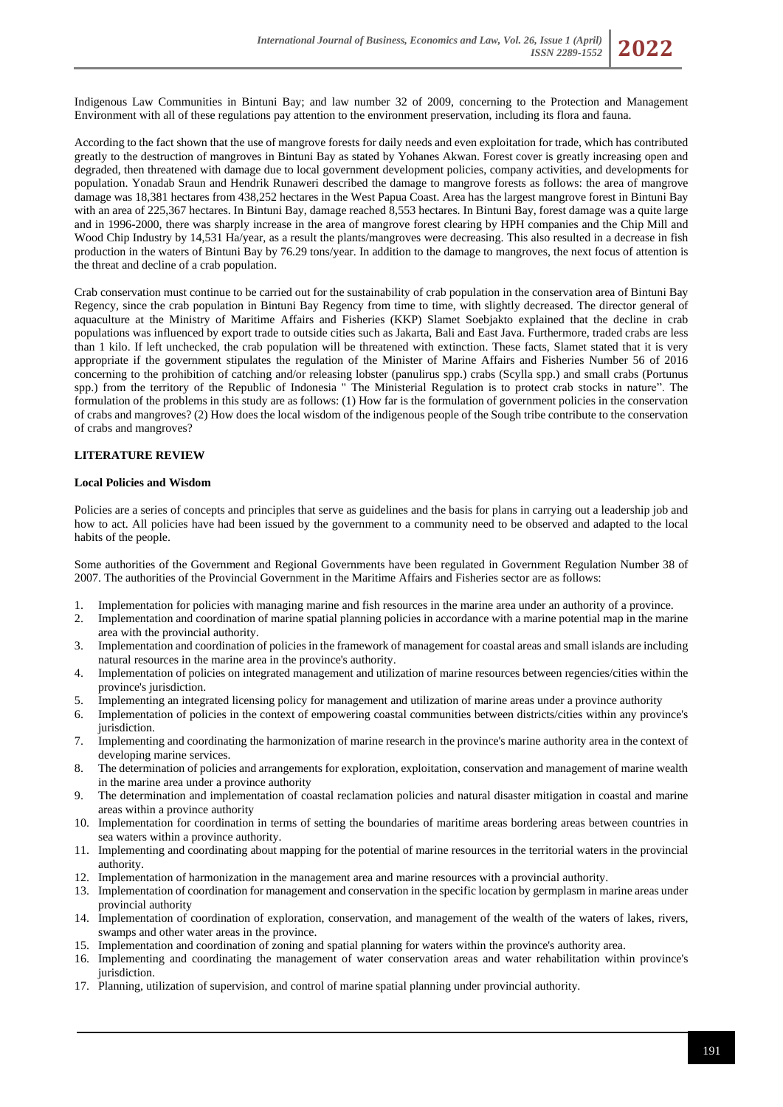

According to the fact shown that the use of mangrove forests for daily needs and even exploitation for trade, which has contributed greatly to the destruction of mangroves in Bintuni Bay as stated by Yohanes Akwan. Forest cover is greatly increasing open and degraded, then threatened with damage due to local government development policies, company activities, and developments for population. Yonadab Sraun and Hendrik Runaweri described the damage to mangrove forests as follows: the area of mangrove damage was 18,381 hectares from 438,252 hectares in the West Papua Coast. Area has the largest mangrove forest in Bintuni Bay with an area of 225,367 hectares. In Bintuni Bay, damage reached 8,553 hectares. In Bintuni Bay, forest damage was a quite large and in 1996-2000, there was sharply increase in the area of mangrove forest clearing by HPH companies and the Chip Mill and Wood Chip Industry by 14,531 Ha/year, as a result the plants/mangroves were decreasing. This also resulted in a decrease in fish production in the waters of Bintuni Bay by 76.29 tons/year. In addition to the damage to mangroves, the next focus of attention is the threat and decline of a crab population.

Crab conservation must continue to be carried out for the sustainability of crab population in the conservation area of Bintuni Bay Regency, since the crab population in Bintuni Bay Regency from time to time, with slightly decreased. The director general of aquaculture at the Ministry of Maritime Affairs and Fisheries (KKP) Slamet Soebjakto explained that the decline in crab populations was influenced by export trade to outside cities such as Jakarta, Bali and East Java. Furthermore, traded crabs are less than 1 kilo. If left unchecked, the crab population will be threatened with extinction. These facts, Slamet stated that it is very appropriate if the government stipulates the regulation of the Minister of Marine Affairs and Fisheries Number 56 of 2016 concerning to the prohibition of catching and/or releasing lobster (panulirus spp.) crabs (Scylla spp.) and small crabs (Portunus spp.) from the territory of the Republic of Indonesia " The Ministerial Regulation is to protect crab stocks in nature". The formulation of the problems in this study are as follows: (1) How far is the formulation of government policies in the conservation of crabs and mangroves? (2) How does the local wisdom of the indigenous people of the Sough tribe contribute to the conservation of crabs and mangroves?

# **LITERATURE REVIEW**

### **Local Policies and Wisdom**

Policies are a series of concepts and principles that serve as guidelines and the basis for plans in carrying out a leadership job and how to act. All policies have had been issued by the government to a community need to be observed and adapted to the local habits of the people.

Some authorities of the Government and Regional Governments have been regulated in Government Regulation Number 38 of 2007. The authorities of the Provincial Government in the Maritime Affairs and Fisheries sector are as follows:

- 1. Implementation for policies with managing marine and fish resources in the marine area under an authority of a province.
- 2. Implementation and coordination of marine spatial planning policies in accordance with a marine potential map in the marine area with the provincial authority.
- 3. Implementation and coordination of policies in the framework of management for coastal areas and small islands are including natural resources in the marine area in the province's authority.
- 4. Implementation of policies on integrated management and utilization of marine resources between regencies/cities within the province's jurisdiction.
- 
- 5. Implementing an integrated licensing policy for management and utilization of marine areas under a province authority 6. Implementation of policies in the context of empowering coastal communities between districts/citi Implementation of policies in the context of empowering coastal communities between districts/cities within any province's jurisdiction.
- 7. Implementing and coordinating the harmonization of marine research in the province's marine authority area in the context of developing marine services.
- 8. The determination of policies and arrangements for exploration, exploitation, conservation and management of marine wealth in the marine area under a province authority
- 9. The determination and implementation of coastal reclamation policies and natural disaster mitigation in coastal and marine areas within a province authority
- 10. Implementation for coordination in terms of setting the boundaries of maritime areas bordering areas between countries in sea waters within a province authority.
- 11. Implementing and coordinating about mapping for the potential of marine resources in the territorial waters in the provincial authority.
- 12. Implementation of harmonization in the management area and marine resources with a provincial authority.
- 13. Implementation of coordination for management and conservation in the specific location by germplasm in marine areas under provincial authority
- 14. Implementation of coordination of exploration, conservation, and management of the wealth of the waters of lakes, rivers, swamps and other water areas in the province.
- 15. Implementation and coordination of zoning and spatial planning for waters within the province's authority area.
- 16. Implementing and coordinating the management of water conservation areas and water rehabilitation within province's jurisdiction.
- 17. Planning, utilization of supervision, and control of marine spatial planning under provincial authority.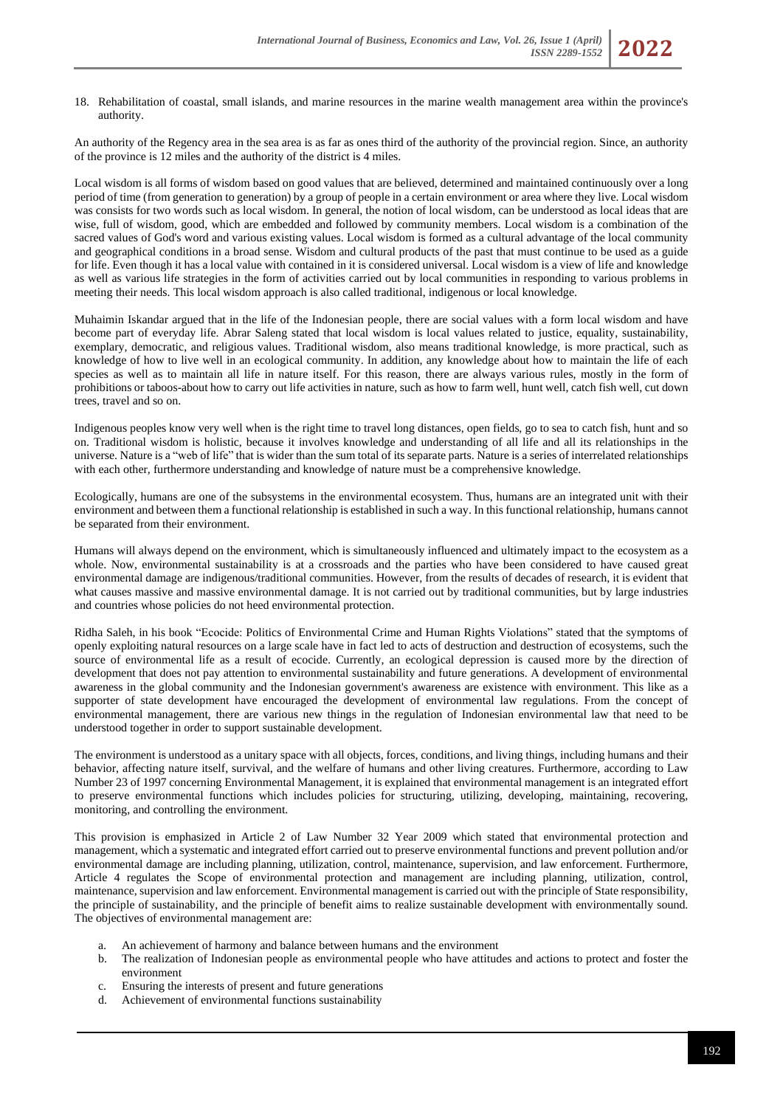18. Rehabilitation of coastal, small islands, and marine resources in the marine wealth management area within the province's authority.

An authority of the Regency area in the sea area is as far as ones third of the authority of the provincial region. Since, an authority of the province is 12 miles and the authority of the district is 4 miles.

Local wisdom is all forms of wisdom based on good values that are believed, determined and maintained continuously over a long period of time (from generation to generation) by a group of people in a certain environment or area where they live. Local wisdom was consists for two words such as local wisdom. In general, the notion of local wisdom, can be understood as local ideas that are wise, full of wisdom, good, which are embedded and followed by community members. Local wisdom is a combination of the sacred values of God's word and various existing values. Local wisdom is formed as a cultural advantage of the local community and geographical conditions in a broad sense. Wisdom and cultural products of the past that must continue to be used as a guide for life. Even though it has a local value with contained in it is considered universal. Local wisdom is a view of life and knowledge as well as various life strategies in the form of activities carried out by local communities in responding to various problems in meeting their needs. This local wisdom approach is also called traditional, indigenous or local knowledge.

Muhaimin Iskandar argued that in the life of the Indonesian people, there are social values with a form local wisdom and have become part of everyday life. Abrar Saleng stated that local wisdom is local values related to justice, equality, sustainability, exemplary, democratic, and religious values. Traditional wisdom, also means traditional knowledge, is more practical, such as knowledge of how to live well in an ecological community. In addition, any knowledge about how to maintain the life of each species as well as to maintain all life in nature itself. For this reason, there are always various rules, mostly in the form of prohibitions or taboos-about how to carry out life activities in nature, such as how to farm well, hunt well, catch fish well, cut down trees, travel and so on.

Indigenous peoples know very well when is the right time to travel long distances, open fields, go to sea to catch fish, hunt and so on. Traditional wisdom is holistic, because it involves knowledge and understanding of all life and all its relationships in the universe. Nature is a "web of life" that is wider than the sum total of its separate parts. Nature is a series of interrelated relationships with each other, furthermore understanding and knowledge of nature must be a comprehensive knowledge.

Ecologically, humans are one of the subsystems in the environmental ecosystem. Thus, humans are an integrated unit with their environment and between them a functional relationship is established in such a way. In this functional relationship, humans cannot be separated from their environment.

Humans will always depend on the environment, which is simultaneously influenced and ultimately impact to the ecosystem as a whole. Now, environmental sustainability is at a crossroads and the parties who have been considered to have caused great environmental damage are indigenous/traditional communities. However, from the results of decades of research, it is evident that what causes massive and massive environmental damage. It is not carried out by traditional communities, but by large industries and countries whose policies do not heed environmental protection.

Ridha Saleh, in his book "Ecocide: Politics of Environmental Crime and Human Rights Violations" stated that the symptoms of openly exploiting natural resources on a large scale have in fact led to acts of destruction and destruction of ecosystems, such the source of environmental life as a result of ecocide. Currently, an ecological depression is caused more by the direction of development that does not pay attention to environmental sustainability and future generations. A development of environmental awareness in the global community and the Indonesian government's awareness are existence with environment. This like as a supporter of state development have encouraged the development of environmental law regulations. From the concept of environmental management, there are various new things in the regulation of Indonesian environmental law that need to be understood together in order to support sustainable development.

The environment is understood as a unitary space with all objects, forces, conditions, and living things, including humans and their behavior, affecting nature itself, survival, and the welfare of humans and other living creatures. Furthermore, according to Law Number 23 of 1997 concerning Environmental Management, it is explained that environmental management is an integrated effort to preserve environmental functions which includes policies for structuring, utilizing, developing, maintaining, recovering, monitoring, and controlling the environment.

This provision is emphasized in Article 2 of Law Number 32 Year 2009 which stated that environmental protection and management, which a systematic and integrated effort carried out to preserve environmental functions and prevent pollution and/or environmental damage are including planning, utilization, control, maintenance, supervision, and law enforcement. Furthermore, Article 4 regulates the Scope of environmental protection and management are including planning, utilization, control, maintenance, supervision and law enforcement. Environmental management is carried out with the principle of State responsibility, the principle of sustainability, and the principle of benefit aims to realize sustainable development with environmentally sound. The objectives of environmental management are:

- a. An achievement of harmony and balance between humans and the environment
- b. The realization of Indonesian people as environmental people who have attitudes and actions to protect and foster the environment
- c. Ensuring the interests of present and future generations
- d. Achievement of environmental functions sustainability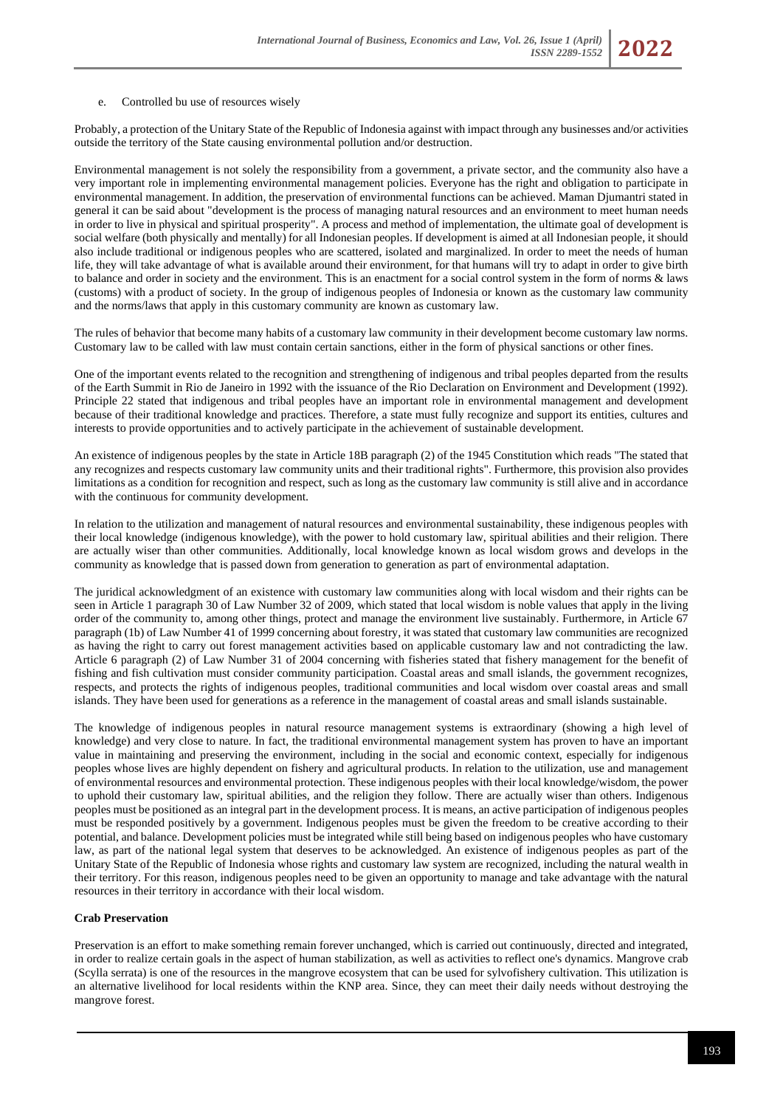#### e. Controlled bu use of resources wisely

Probably, a protection of the Unitary State of the Republic of Indonesia against with impact through any businesses and/or activities outside the territory of the State causing environmental pollution and/or destruction.

Environmental management is not solely the responsibility from a government, a private sector, and the community also have a very important role in implementing environmental management policies. Everyone has the right and obligation to participate in environmental management. In addition, the preservation of environmental functions can be achieved. Maman Djumantri stated in general it can be said about "development is the process of managing natural resources and an environment to meet human needs in order to live in physical and spiritual prosperity". A process and method of implementation, the ultimate goal of development is social welfare (both physically and mentally) for all Indonesian peoples. If development is aimed at all Indonesian people, it should also include traditional or indigenous peoples who are scattered, isolated and marginalized. In order to meet the needs of human life, they will take advantage of what is available around their environment, for that humans will try to adapt in order to give birth to balance and order in society and the environment. This is an enactment for a social control system in the form of norms & laws (customs) with a product of society. In the group of indigenous peoples of Indonesia or known as the customary law community and the norms/laws that apply in this customary community are known as customary law.

The rules of behavior that become many habits of a customary law community in their development become customary law norms. Customary law to be called with law must contain certain sanctions, either in the form of physical sanctions or other fines.

One of the important events related to the recognition and strengthening of indigenous and tribal peoples departed from the results of the Earth Summit in Rio de Janeiro in 1992 with the issuance of the Rio Declaration on Environment and Development (1992). Principle 22 stated that indigenous and tribal peoples have an important role in environmental management and development because of their traditional knowledge and practices. Therefore, a state must fully recognize and support its entities, cultures and interests to provide opportunities and to actively participate in the achievement of sustainable development.

An existence of indigenous peoples by the state in Article 18B paragraph (2) of the 1945 Constitution which reads "The stated that any recognizes and respects customary law community units and their traditional rights". Furthermore, this provision also provides limitations as a condition for recognition and respect, such as long as the customary law community is still alive and in accordance with the continuous for community development.

In relation to the utilization and management of natural resources and environmental sustainability, these indigenous peoples with their local knowledge (indigenous knowledge), with the power to hold customary law, spiritual abilities and their religion. There are actually wiser than other communities. Additionally, local knowledge known as local wisdom grows and develops in the community as knowledge that is passed down from generation to generation as part of environmental adaptation.

The juridical acknowledgment of an existence with customary law communities along with local wisdom and their rights can be seen in Article 1 paragraph 30 of Law Number 32 of 2009, which stated that local wisdom is noble values that apply in the living order of the community to, among other things, protect and manage the environment live sustainably. Furthermore, in Article 67 paragraph (1b) of Law Number 41 of 1999 concerning about forestry, it was stated that customary law communities are recognized as having the right to carry out forest management activities based on applicable customary law and not contradicting the law. Article 6 paragraph (2) of Law Number 31 of 2004 concerning with fisheries stated that fishery management for the benefit of fishing and fish cultivation must consider community participation. Coastal areas and small islands, the government recognizes, respects, and protects the rights of indigenous peoples, traditional communities and local wisdom over coastal areas and small islands. They have been used for generations as a reference in the management of coastal areas and small islands sustainable.

The knowledge of indigenous peoples in natural resource management systems is extraordinary (showing a high level of knowledge) and very close to nature. In fact, the traditional environmental management system has proven to have an important value in maintaining and preserving the environment, including in the social and economic context, especially for indigenous peoples whose lives are highly dependent on fishery and agricultural products. In relation to the utilization, use and management of environmental resources and environmental protection. These indigenous peoples with their local knowledge/wisdom, the power to uphold their customary law, spiritual abilities, and the religion they follow. There are actually wiser than others. Indigenous peoples must be positioned as an integral part in the development process. It is means, an active participation of indigenous peoples must be responded positively by a government. Indigenous peoples must be given the freedom to be creative according to their potential, and balance. Development policies must be integrated while still being based on indigenous peoples who have customary law, as part of the national legal system that deserves to be acknowledged. An existence of indigenous peoples as part of the Unitary State of the Republic of Indonesia whose rights and customary law system are recognized, including the natural wealth in their territory. For this reason, indigenous peoples need to be given an opportunity to manage and take advantage with the natural resources in their territory in accordance with their local wisdom.

### **Crab Preservation**

Preservation is an effort to make something remain forever unchanged, which is carried out continuously, directed and integrated, in order to realize certain goals in the aspect of human stabilization, as well as activities to reflect one's dynamics. Mangrove crab (Scylla serrata) is one of the resources in the mangrove ecosystem that can be used for sylvofishery cultivation. This utilization is an alternative livelihood for local residents within the KNP area. Since, they can meet their daily needs without destroying the mangrove forest.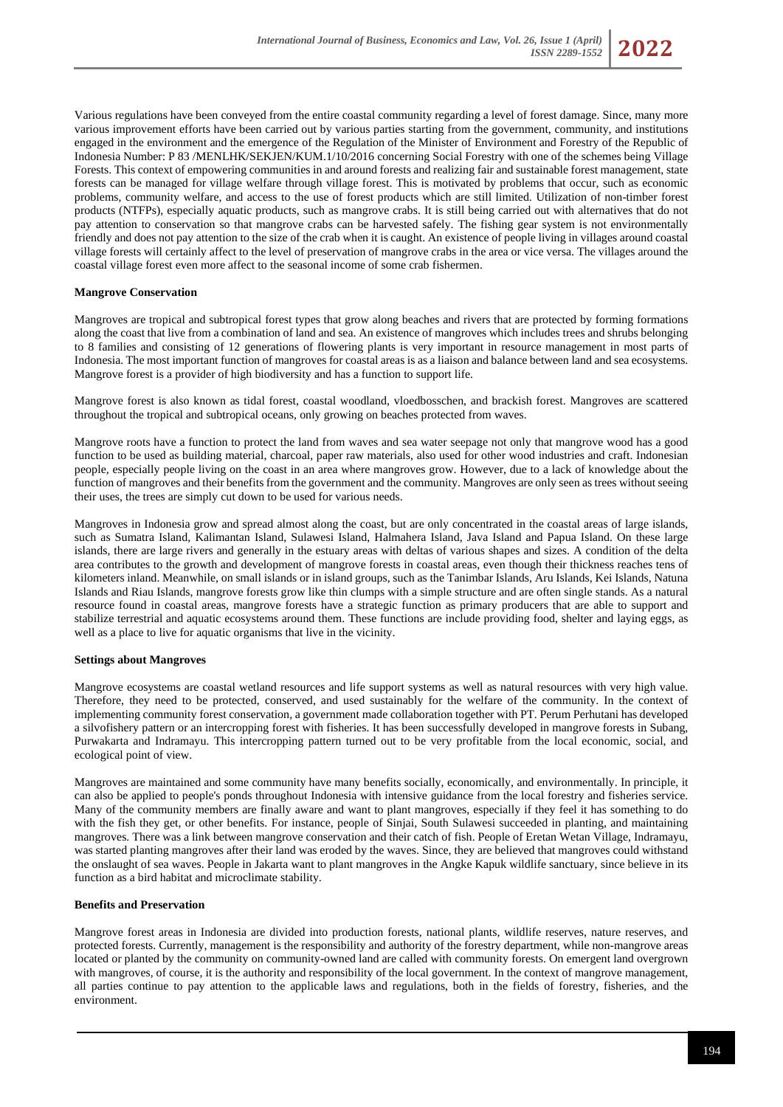

Various regulations have been conveyed from the entire coastal community regarding a level of forest damage. Since, many more various improvement efforts have been carried out by various parties starting from the government, community, and institutions engaged in the environment and the emergence of the Regulation of the Minister of Environment and Forestry of the Republic of Indonesia Number: P 83 /MENLHK/SEKJEN/KUM.1/10/2016 concerning Social Forestry with one of the schemes being Village Forests. This context of empowering communities in and around forests and realizing fair and sustainable forest management, state forests can be managed for village welfare through village forest. This is motivated by problems that occur, such as economic problems, community welfare, and access to the use of forest products which are still limited. Utilization of non-timber forest products (NTFPs), especially aquatic products, such as mangrove crabs. It is still being carried out with alternatives that do not pay attention to conservation so that mangrove crabs can be harvested safely. The fishing gear system is not environmentally friendly and does not pay attention to the size of the crab when it is caught. An existence of people living in villages around coastal village forests will certainly affect to the level of preservation of mangrove crabs in the area or vice versa. The villages around the coastal village forest even more affect to the seasonal income of some crab fishermen.

### **Mangrove Conservation**

Mangroves are tropical and subtropical forest types that grow along beaches and rivers that are protected by forming formations along the coast that live from a combination of land and sea. An existence of mangroves which includes trees and shrubs belonging to 8 families and consisting of 12 generations of flowering plants is very important in resource management in most parts of Indonesia. The most important function of mangroves for coastal areas is as a liaison and balance between land and sea ecosystems. Mangrove forest is a provider of high biodiversity and has a function to support life.

Mangrove forest is also known as tidal forest, coastal woodland, vloedbosschen, and brackish forest. Mangroves are scattered throughout the tropical and subtropical oceans, only growing on beaches protected from waves.

Mangrove roots have a function to protect the land from waves and sea water seepage not only that mangrove wood has a good function to be used as building material, charcoal, paper raw materials, also used for other wood industries and craft. Indonesian people, especially people living on the coast in an area where mangroves grow. However, due to a lack of knowledge about the function of mangroves and their benefits from the government and the community. Mangroves are only seen as trees without seeing their uses, the trees are simply cut down to be used for various needs.

Mangroves in Indonesia grow and spread almost along the coast, but are only concentrated in the coastal areas of large islands, such as Sumatra Island, Kalimantan Island, Sulawesi Island, Halmahera Island, Java Island and Papua Island. On these large islands, there are large rivers and generally in the estuary areas with deltas of various shapes and sizes. A condition of the delta area contributes to the growth and development of mangrove forests in coastal areas, even though their thickness reaches tens of kilometers inland. Meanwhile, on small islands or in island groups, such as the Tanimbar Islands, Aru Islands, Kei Islands, Natuna Islands and Riau Islands, mangrove forests grow like thin clumps with a simple structure and are often single stands. As a natural resource found in coastal areas, mangrove forests have a strategic function as primary producers that are able to support and stabilize terrestrial and aquatic ecosystems around them. These functions are include providing food, shelter and laying eggs, as well as a place to live for aquatic organisms that live in the vicinity.

### **Settings about Mangroves**

Mangrove ecosystems are coastal wetland resources and life support systems as well as natural resources with very high value. Therefore, they need to be protected, conserved, and used sustainably for the welfare of the community. In the context of implementing community forest conservation, a government made collaboration together with PT. Perum Perhutani has developed a silvofishery pattern or an intercropping forest with fisheries. It has been successfully developed in mangrove forests in Subang, Purwakarta and Indramayu. This intercropping pattern turned out to be very profitable from the local economic, social, and ecological point of view.

Mangroves are maintained and some community have many benefits socially, economically, and environmentally. In principle, it can also be applied to people's ponds throughout Indonesia with intensive guidance from the local forestry and fisheries service. Many of the community members are finally aware and want to plant mangroves, especially if they feel it has something to do with the fish they get, or other benefits. For instance, people of Sinjai, South Sulawesi succeeded in planting, and maintaining mangroves. There was a link between mangrove conservation and their catch of fish. People of Eretan Wetan Village, Indramayu, was started planting mangroves after their land was eroded by the waves. Since, they are believed that mangroves could withstand the onslaught of sea waves. People in Jakarta want to plant mangroves in the Angke Kapuk wildlife sanctuary, since believe in its function as a bird habitat and microclimate stability.

#### **Benefits and Preservation**

Mangrove forest areas in Indonesia are divided into production forests, national plants, wildlife reserves, nature reserves, and protected forests. Currently, management is the responsibility and authority of the forestry department, while non-mangrove areas located or planted by the community on community-owned land are called with community forests. On emergent land overgrown with mangroves, of course, it is the authority and responsibility of the local government. In the context of mangrove management, all parties continue to pay attention to the applicable laws and regulations, both in the fields of forestry, fisheries, and the environment.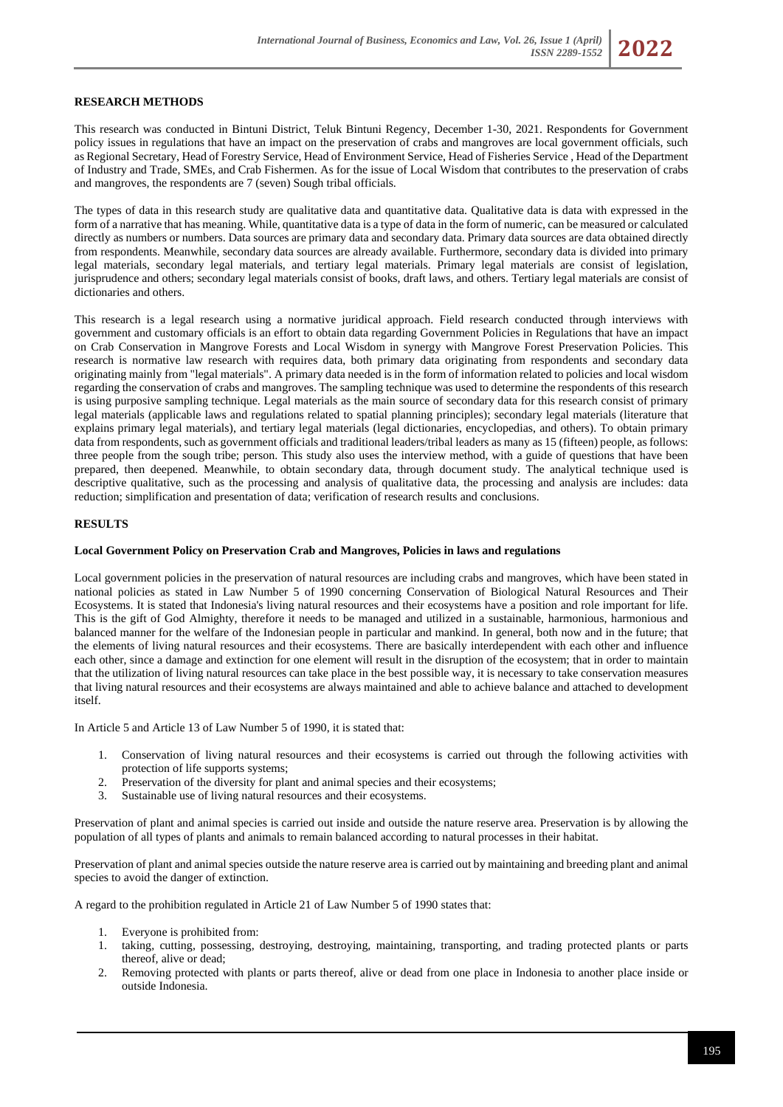### **RESEARCH METHODS**

This research was conducted in Bintuni District, Teluk Bintuni Regency, December 1-30, 2021. Respondents for Government policy issues in regulations that have an impact on the preservation of crabs and mangroves are local government officials, such as Regional Secretary, Head of Forestry Service, Head of Environment Service, Head of Fisheries Service , Head of the Department of Industry and Trade, SMEs, and Crab Fishermen. As for the issue of Local Wisdom that contributes to the preservation of crabs and mangroves, the respondents are 7 (seven) Sough tribal officials.

The types of data in this research study are qualitative data and quantitative data. Qualitative data is data with expressed in the form of a narrative that has meaning. While, quantitative data is a type of data in the form of numeric, can be measured or calculated directly as numbers or numbers. Data sources are primary data and secondary data. Primary data sources are data obtained directly from respondents. Meanwhile, secondary data sources are already available. Furthermore, secondary data is divided into primary legal materials, secondary legal materials, and tertiary legal materials. Primary legal materials are consist of legislation, jurisprudence and others; secondary legal materials consist of books, draft laws, and others. Tertiary legal materials are consist of dictionaries and others.

This research is a legal research using a normative juridical approach. Field research conducted through interviews with government and customary officials is an effort to obtain data regarding Government Policies in Regulations that have an impact on Crab Conservation in Mangrove Forests and Local Wisdom in synergy with Mangrove Forest Preservation Policies. This research is normative law research with requires data, both primary data originating from respondents and secondary data originating mainly from "legal materials". A primary data needed is in the form of information related to policies and local wisdom regarding the conservation of crabs and mangroves. The sampling technique was used to determine the respondents of this research is using purposive sampling technique. Legal materials as the main source of secondary data for this research consist of primary legal materials (applicable laws and regulations related to spatial planning principles); secondary legal materials (literature that explains primary legal materials), and tertiary legal materials (legal dictionaries, encyclopedias, and others). To obtain primary data from respondents, such as government officials and traditional leaders/tribal leaders as many as 15 (fifteen) people, as follows: three people from the sough tribe; person. This study also uses the interview method, with a guide of questions that have been prepared, then deepened. Meanwhile, to obtain secondary data, through document study. The analytical technique used is descriptive qualitative, such as the processing and analysis of qualitative data, the processing and analysis are includes: data reduction; simplification and presentation of data; verification of research results and conclusions.

#### **RESULTS**

#### **Local Government Policy on Preservation Crab and Mangroves, Policies in laws and regulations**

Local government policies in the preservation of natural resources are including crabs and mangroves, which have been stated in national policies as stated in Law Number 5 of 1990 concerning Conservation of Biological Natural Resources and Their Ecosystems. It is stated that Indonesia's living natural resources and their ecosystems have a position and role important for life. This is the gift of God Almighty, therefore it needs to be managed and utilized in a sustainable, harmonious, harmonious and balanced manner for the welfare of the Indonesian people in particular and mankind. In general, both now and in the future; that the elements of living natural resources and their ecosystems. There are basically interdependent with each other and influence each other, since a damage and extinction for one element will result in the disruption of the ecosystem; that in order to maintain that the utilization of living natural resources can take place in the best possible way, it is necessary to take conservation measures that living natural resources and their ecosystems are always maintained and able to achieve balance and attached to development itself.

In Article 5 and Article 13 of Law Number 5 of 1990, it is stated that:

- 1. Conservation of living natural resources and their ecosystems is carried out through the following activities with protection of life supports systems;
- 2. Preservation of the diversity for plant and animal species and their ecosystems;
- 3. Sustainable use of living natural resources and their ecosystems.

Preservation of plant and animal species is carried out inside and outside the nature reserve area. Preservation is by allowing the population of all types of plants and animals to remain balanced according to natural processes in their habitat.

Preservation of plant and animal species outside the nature reserve area is carried out by maintaining and breeding plant and animal species to avoid the danger of extinction.

A regard to the prohibition regulated in Article 21 of Law Number 5 of 1990 states that:

- 1. Everyone is prohibited from:
- 1. taking, cutting, possessing, destroying, destroying, maintaining, transporting, and trading protected plants or parts thereof, alive or dead;
- 2. Removing protected with plants or parts thereof, alive or dead from one place in Indonesia to another place inside or outside Indonesia.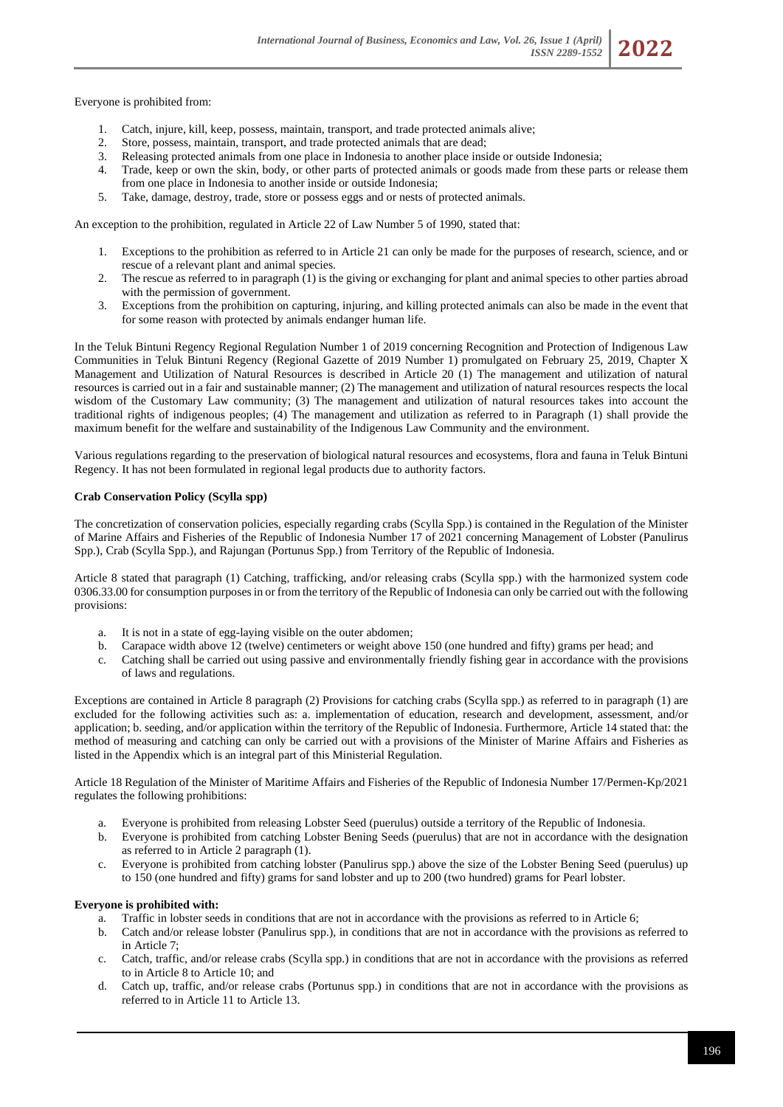Everyone is prohibited from:

- 1. Catch, injure, kill, keep, possess, maintain, transport, and trade protected animals alive;
- 2. Store, possess, maintain, transport, and trade protected animals that are dead;<br>3. Releasing protected animals from one place in Indonesia to another place insi
- Releasing protected animals from one place in Indonesia to another place inside or outside Indonesia;
- 4. Trade, keep or own the skin, body, or other parts of protected animals or goods made from these parts or release them from one place in Indonesia to another inside or outside Indonesia;
- 5. Take, damage, destroy, trade, store or possess eggs and or nests of protected animals.

An exception to the prohibition, regulated in Article 22 of Law Number 5 of 1990, stated that:

- 1. Exceptions to the prohibition as referred to in Article 21 can only be made for the purposes of research, science, and or rescue of a relevant plant and animal species.
- 2. The rescue as referred to in paragraph (1) is the giving or exchanging for plant and animal species to other parties abroad with the permission of government.
- 3. Exceptions from the prohibition on capturing, injuring, and killing protected animals can also be made in the event that for some reason with protected by animals endanger human life.

In the Teluk Bintuni Regency Regional Regulation Number 1 of 2019 concerning Recognition and Protection of Indigenous Law Communities in Teluk Bintuni Regency (Regional Gazette of 2019 Number 1) promulgated on February 25, 2019, Chapter X Management and Utilization of Natural Resources is described in Article 20 (1) The management and utilization of natural resources is carried out in a fair and sustainable manner; (2) The management and utilization of natural resources respects the local wisdom of the Customary Law community; (3) The management and utilization of natural resources takes into account the traditional rights of indigenous peoples; (4) The management and utilization as referred to in Paragraph (1) shall provide the maximum benefit for the welfare and sustainability of the Indigenous Law Community and the environment.

Various regulations regarding to the preservation of biological natural resources and ecosystems, flora and fauna in Teluk Bintuni Regency. It has not been formulated in regional legal products due to authority factors.

### **Crab Conservation Policy (Scylla spp)**

The concretization of conservation policies, especially regarding crabs (Scylla Spp.) is contained in the Regulation of the Minister of Marine Affairs and Fisheries of the Republic of Indonesia Number 17 of 2021 concerning Management of Lobster (Panulirus Spp.), Crab (Scylla Spp.), and Rajungan (Portunus Spp.) from Territory of the Republic of Indonesia.

Article 8 stated that paragraph (1) Catching, trafficking, and/or releasing crabs (Scylla spp.) with the harmonized system code 0306.33.00 for consumption purposes in or from the territory of the Republic of Indonesia can only be carried out with the following provisions:

- a. It is not in a state of egg-laying visible on the outer abdomen;
- b. Carapace width above 12 (twelve) centimeters or weight above 150 (one hundred and fifty) grams per head; and
- c. Catching shall be carried out using passive and environmentally friendly fishing gear in accordance with the provisions of laws and regulations.

Exceptions are contained in Article 8 paragraph (2) Provisions for catching crabs (Scylla spp.) as referred to in paragraph (1) are excluded for the following activities such as: a. implementation of education, research and development, assessment, and/or application; b. seeding, and/or application within the territory of the Republic of Indonesia. Furthermore, Article 14 stated that: the method of measuring and catching can only be carried out with a provisions of the Minister of Marine Affairs and Fisheries as listed in the Appendix which is an integral part of this Ministerial Regulation.

Article 18 Regulation of the Minister of Maritime Affairs and Fisheries of the Republic of Indonesia Number 17/Permen-Kp/2021 regulates the following prohibitions:

- a. Everyone is prohibited from releasing Lobster Seed (puerulus) outside a territory of the Republic of Indonesia.
- b. Everyone is prohibited from catching Lobster Bening Seeds (puerulus) that are not in accordance with the designation as referred to in Article 2 paragraph (1).
- c. Everyone is prohibited from catching lobster (Panulirus spp.) above the size of the Lobster Bening Seed (puerulus) up to 150 (one hundred and fifty) grams for sand lobster and up to 200 (two hundred) grams for Pearl lobster.

### **Everyone is prohibited with:**

- a. Traffic in lobster seeds in conditions that are not in accordance with the provisions as referred to in Article 6;
- b. Catch and/or release lobster (Panulirus spp.), in conditions that are not in accordance with the provisions as referred to in Article 7;
- c. Catch, traffic, and/or release crabs (Scylla spp.) in conditions that are not in accordance with the provisions as referred to in Article 8 to Article 10; and
- d. Catch up, traffic, and/or release crabs (Portunus spp.) in conditions that are not in accordance with the provisions as referred to in Article 11 to Article 13.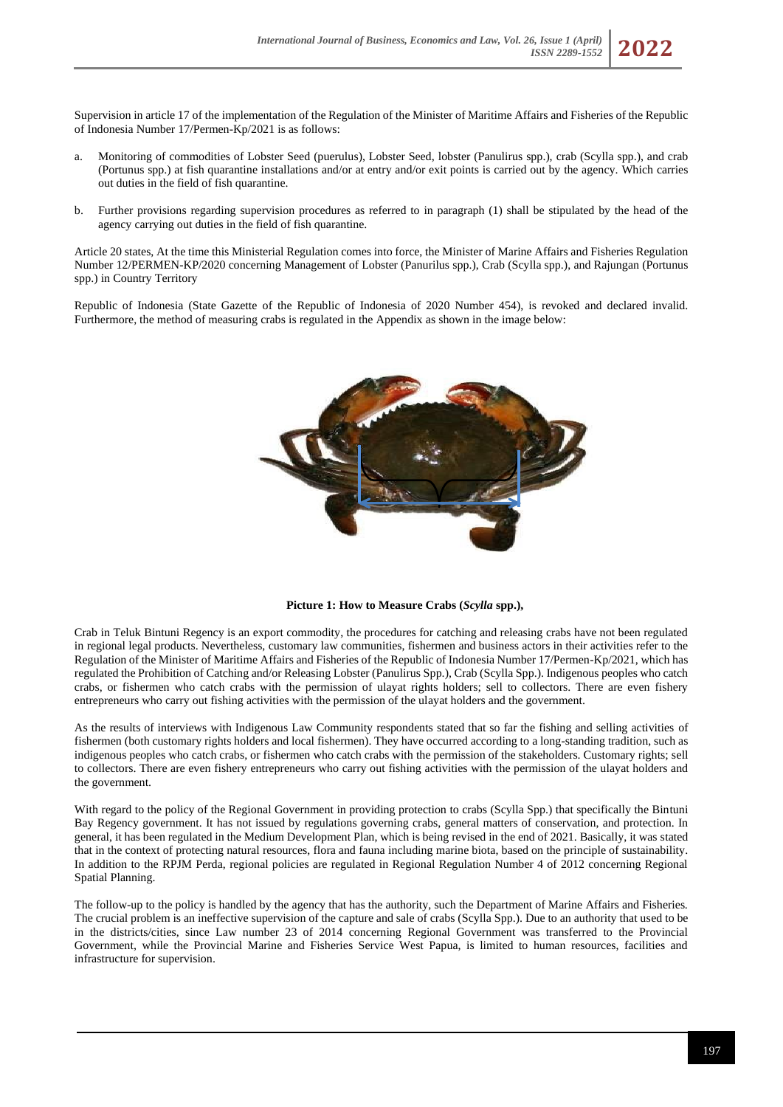Supervision in article 17 of the implementation of the Regulation of the Minister of Maritime Affairs and Fisheries of the Republic of Indonesia Number 17/Permen-Kp/2021 is as follows:

- a. Monitoring of commodities of Lobster Seed (puerulus), Lobster Seed, lobster (Panulirus spp.), crab (Scylla spp.), and crab (Portunus spp.) at fish quarantine installations and/or at entry and/or exit points is carried out by the agency. Which carries out duties in the field of fish quarantine.
- b. Further provisions regarding supervision procedures as referred to in paragraph (1) shall be stipulated by the head of the agency carrying out duties in the field of fish quarantine.

Article 20 states, At the time this Ministerial Regulation comes into force, the Minister of Marine Affairs and Fisheries Regulation Number 12/PERMEN-KP/2020 concerning Management of Lobster (Panurilus spp.), Crab (Scylla spp.), and Rajungan (Portunus spp.) in Country Territory

Republic of Indonesia (State Gazette of the Republic of Indonesia of 2020 Number 454), is revoked and declared invalid. Furthermore, the method of measuring crabs is regulated in the Appendix as shown in the image below:



**Picture 1: How to Measure Crabs (***Scylla* **spp.),**

Crab in Teluk Bintuni Regency is an export commodity, the procedures for catching and releasing crabs have not been regulated in regional legal products. Nevertheless, customary law communities, fishermen and business actors in their activities refer to the Regulation of the Minister of Maritime Affairs and Fisheries of the Republic of Indonesia Number 17/Permen-Kp/2021, which has regulated the Prohibition of Catching and/or Releasing Lobster (Panulirus Spp.), Crab (Scylla Spp.). Indigenous peoples who catch crabs, or fishermen who catch crabs with the permission of ulayat rights holders; sell to collectors. There are even fishery entrepreneurs who carry out fishing activities with the permission of the ulayat holders and the government.

As the results of interviews with Indigenous Law Community respondents stated that so far the fishing and selling activities of fishermen (both customary rights holders and local fishermen). They have occurred according to a long-standing tradition, such as indigenous peoples who catch crabs, or fishermen who catch crabs with the permission of the stakeholders. Customary rights; sell to collectors. There are even fishery entrepreneurs who carry out fishing activities with the permission of the ulayat holders and the government.

With regard to the policy of the Regional Government in providing protection to crabs (Scylla Spp.) that specifically the Bintuni Bay Regency government. It has not issued by regulations governing crabs, general matters of conservation, and protection. In general, it has been regulated in the Medium Development Plan, which is being revised in the end of 2021. Basically, it was stated that in the context of protecting natural resources, flora and fauna including marine biota, based on the principle of sustainability. In addition to the RPJM Perda, regional policies are regulated in Regional Regulation Number 4 of 2012 concerning Regional Spatial Planning.

The follow-up to the policy is handled by the agency that has the authority, such the Department of Marine Affairs and Fisheries. The crucial problem is an ineffective supervision of the capture and sale of crabs (Scylla Spp.). Due to an authority that used to be in the districts/cities, since Law number 23 of 2014 concerning Regional Government was transferred to the Provincial Government, while the Provincial Marine and Fisheries Service West Papua, is limited to human resources, facilities and infrastructure for supervision.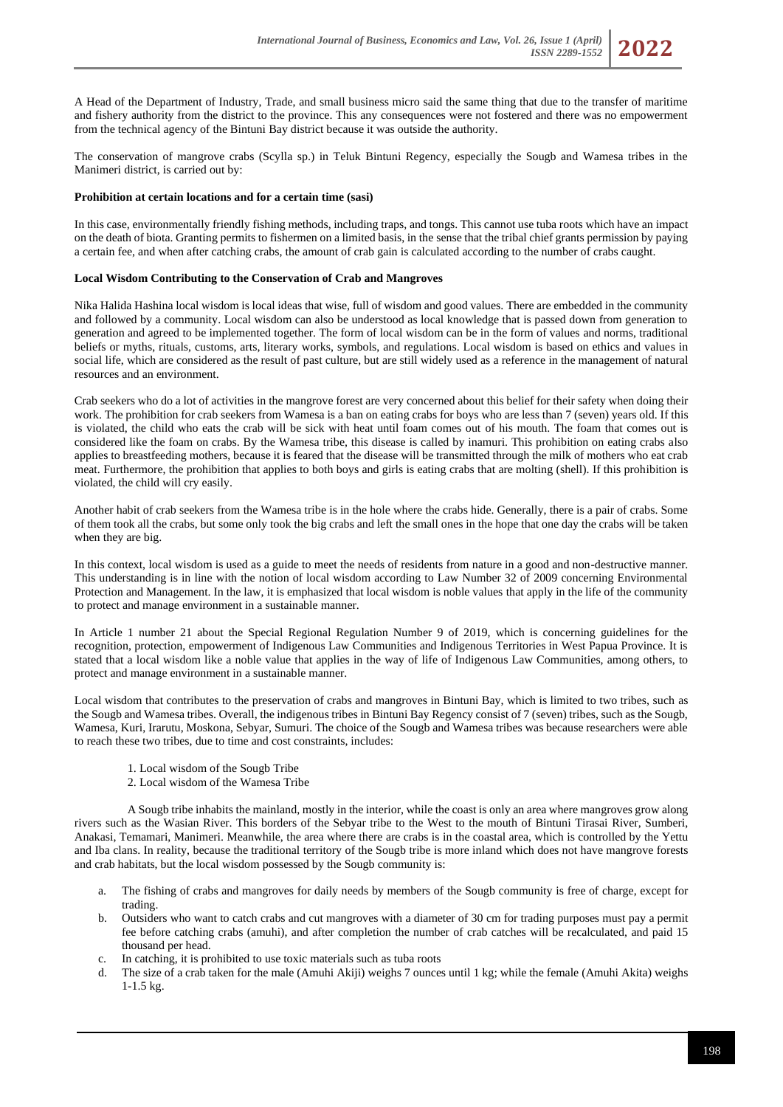A Head of the Department of Industry, Trade, and small business micro said the same thing that due to the transfer of maritime and fishery authority from the district to the province. This any consequences were not fostered and there was no empowerment from the technical agency of the Bintuni Bay district because it was outside the authority.

The conservation of mangrove crabs (Scylla sp.) in Teluk Bintuni Regency, especially the Sougb and Wamesa tribes in the Manimeri district, is carried out by:

### **Prohibition at certain locations and for a certain time (sasi)**

In this case, environmentally friendly fishing methods, including traps, and tongs. This cannot use tuba roots which have an impact on the death of biota. Granting permits to fishermen on a limited basis, in the sense that the tribal chief grants permission by paying a certain fee, and when after catching crabs, the amount of crab gain is calculated according to the number of crabs caught.

### **Local Wisdom Contributing to the Conservation of Crab and Mangroves**

Nika Halida Hashina local wisdom is local ideas that wise, full of wisdom and good values. There are embedded in the community and followed by a community. Local wisdom can also be understood as local knowledge that is passed down from generation to generation and agreed to be implemented together. The form of local wisdom can be in the form of values and norms, traditional beliefs or myths, rituals, customs, arts, literary works, symbols, and regulations. Local wisdom is based on ethics and values in social life, which are considered as the result of past culture, but are still widely used as a reference in the management of natural resources and an environment.

Crab seekers who do a lot of activities in the mangrove forest are very concerned about this belief for their safety when doing their work. The prohibition for crab seekers from Wamesa is a ban on eating crabs for boys who are less than 7 (seven) years old. If this is violated, the child who eats the crab will be sick with heat until foam comes out of his mouth. The foam that comes out is considered like the foam on crabs. By the Wamesa tribe, this disease is called by inamuri. This prohibition on eating crabs also applies to breastfeeding mothers, because it is feared that the disease will be transmitted through the milk of mothers who eat crab meat. Furthermore, the prohibition that applies to both boys and girls is eating crabs that are molting (shell). If this prohibition is violated, the child will cry easily.

Another habit of crab seekers from the Wamesa tribe is in the hole where the crabs hide. Generally, there is a pair of crabs. Some of them took all the crabs, but some only took the big crabs and left the small ones in the hope that one day the crabs will be taken when they are big.

In this context, local wisdom is used as a guide to meet the needs of residents from nature in a good and non-destructive manner. This understanding is in line with the notion of local wisdom according to Law Number 32 of 2009 concerning Environmental Protection and Management. In the law, it is emphasized that local wisdom is noble values that apply in the life of the community to protect and manage environment in a sustainable manner.

In Article 1 number 21 about the Special Regional Regulation Number 9 of 2019, which is concerning guidelines for the recognition, protection, empowerment of Indigenous Law Communities and Indigenous Territories in West Papua Province. It is stated that a local wisdom like a noble value that applies in the way of life of Indigenous Law Communities, among others, to protect and manage environment in a sustainable manner.

Local wisdom that contributes to the preservation of crabs and mangroves in Bintuni Bay, which is limited to two tribes, such as the Sougb and Wamesa tribes. Overall, the indigenous tribes in Bintuni Bay Regency consist of 7 (seven) tribes, such as the Sougb, Wamesa, Kuri, Irarutu, Moskona, Sebyar, Sumuri. The choice of the Sougb and Wamesa tribes was because researchers were able to reach these two tribes, due to time and cost constraints, includes:

- 1. Local wisdom of the Sougb Tribe
- 2. Local wisdom of the Wamesa Tribe

A Sougb tribe inhabits the mainland, mostly in the interior, while the coast is only an area where mangroves grow along rivers such as the Wasian River. This borders of the Sebyar tribe to the West to the mouth of Bintuni Tirasai River, Sumberi, Anakasi, Temamari, Manimeri. Meanwhile, the area where there are crabs is in the coastal area, which is controlled by the Yettu and Iba clans. In reality, because the traditional territory of the Sougb tribe is more inland which does not have mangrove forests and crab habitats, but the local wisdom possessed by the Sougb community is:

- a. The fishing of crabs and mangroves for daily needs by members of the Sougb community is free of charge, except for trading.
- b. Outsiders who want to catch crabs and cut mangroves with a diameter of 30 cm for trading purposes must pay a permit fee before catching crabs (amuhi), and after completion the number of crab catches will be recalculated, and paid 15 thousand per head.
- c. In catching, it is prohibited to use toxic materials such as tuba roots
- d. The size of a crab taken for the male (Amuhi Akiji) weighs 7 ounces until 1 kg; while the female (Amuhi Akita) weighs 1-1.5 kg.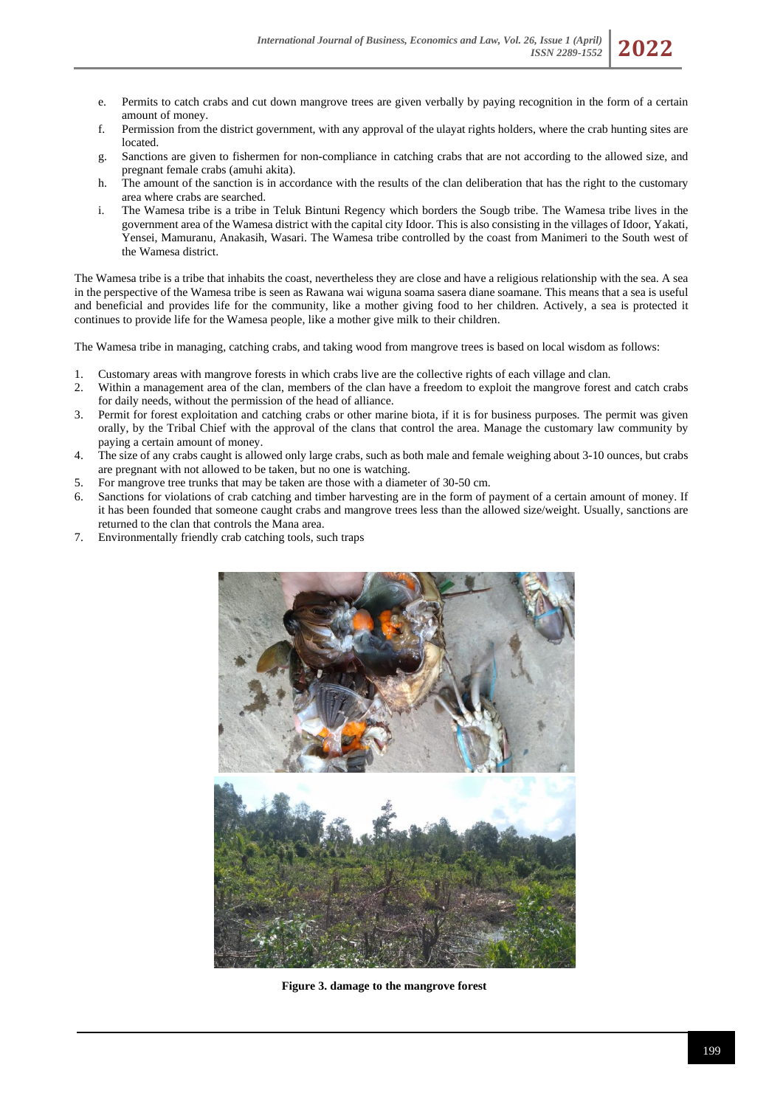- e. Permits to catch crabs and cut down mangrove trees are given verbally by paying recognition in the form of a certain amount of money.
- f. Permission from the district government, with any approval of the ulayat rights holders, where the crab hunting sites are located.
- g. Sanctions are given to fishermen for non-compliance in catching crabs that are not according to the allowed size, and pregnant female crabs (amuhi akita).
- h. The amount of the sanction is in accordance with the results of the clan deliberation that has the right to the customary area where crabs are searched.
- i. The Wamesa tribe is a tribe in Teluk Bintuni Regency which borders the Sougb tribe. The Wamesa tribe lives in the government area of the Wamesa district with the capital city Idoor. This is also consisting in the villages of Idoor, Yakati, Yensei, Mamuranu, Anakasih, Wasari. The Wamesa tribe controlled by the coast from Manimeri to the South west of the Wamesa district.

The Wamesa tribe is a tribe that inhabits the coast, nevertheless they are close and have a religious relationship with the sea. A sea in the perspective of the Wamesa tribe is seen as Rawana wai wiguna soama sasera diane soamane. This means that a sea is useful and beneficial and provides life for the community, like a mother giving food to her children. Actively, a sea is protected it continues to provide life for the Wamesa people, like a mother give milk to their children.

The Wamesa tribe in managing, catching crabs, and taking wood from mangrove trees is based on local wisdom as follows:

- 1. Customary areas with mangrove forests in which crabs live are the collective rights of each village and clan.
- 2. Within a management area of the clan, members of the clan have a freedom to exploit the mangrove forest and catch crabs for daily needs, without the permission of the head of alliance.
- 3. Permit for forest exploitation and catching crabs or other marine biota, if it is for business purposes. The permit was given orally, by the Tribal Chief with the approval of the clans that control the area. Manage the customary law community by paying a certain amount of money.
- 4. The size of any crabs caught is allowed only large crabs, such as both male and female weighing about 3-10 ounces, but crabs are pregnant with not allowed to be taken, but no one is watching.
- 5. For mangrove tree trunks that may be taken are those with a diameter of 30-50 cm.
- 6. Sanctions for violations of crab catching and timber harvesting are in the form of payment of a certain amount of money. If it has been founded that someone caught crabs and mangrove trees less than the allowed size/weight. Usually, sanctions are returned to the clan that controls the Mana area.
- 7. Environmentally friendly crab catching tools, such traps



 **Figure 3. damage to the mangrove forest**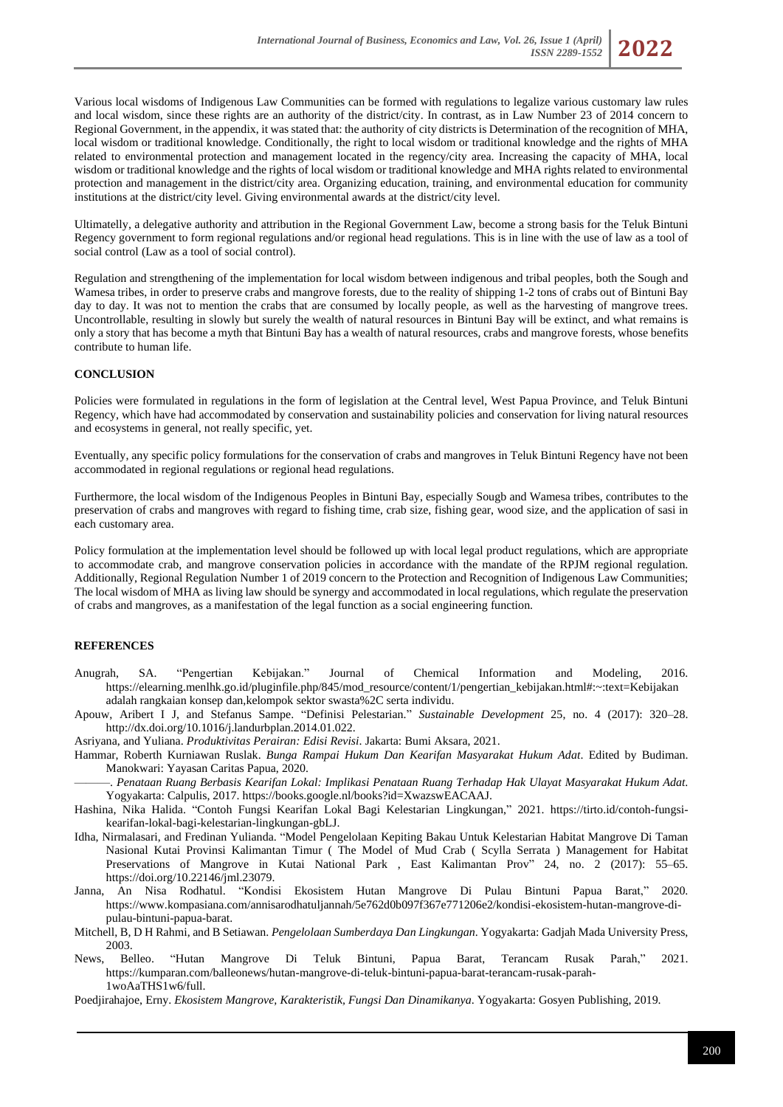Various local wisdoms of Indigenous Law Communities can be formed with regulations to legalize various customary law rules and local wisdom, since these rights are an authority of the district/city. In contrast, as in Law Number 23 of 2014 concern to Regional Government, in the appendix, it was stated that: the authority of city districts is Determination of the recognition of MHA, local wisdom or traditional knowledge. Conditionally, the right to local wisdom or traditional knowledge and the rights of MHA related to environmental protection and management located in the regency/city area. Increasing the capacity of MHA, local wisdom or traditional knowledge and the rights of local wisdom or traditional knowledge and MHA rights related to environmental protection and management in the district/city area. Organizing education, training, and environmental education for community institutions at the district/city level. Giving environmental awards at the district/city level.

Ultimatelly, a delegative authority and attribution in the Regional Government Law, become a strong basis for the Teluk Bintuni Regency government to form regional regulations and/or regional head regulations. This is in line with the use of law as a tool of social control (Law as a tool of social control).

Regulation and strengthening of the implementation for local wisdom between indigenous and tribal peoples, both the Sough and Wamesa tribes, in order to preserve crabs and mangrove forests, due to the reality of shipping 1-2 tons of crabs out of Bintuni Bay day to day. It was not to mention the crabs that are consumed by locally people, as well as the harvesting of mangrove trees. Uncontrollable, resulting in slowly but surely the wealth of natural resources in Bintuni Bay will be extinct, and what remains is only a story that has become a myth that Bintuni Bay has a wealth of natural resources, crabs and mangrove forests, whose benefits contribute to human life.

### **CONCLUSION**

Policies were formulated in regulations in the form of legislation at the Central level, West Papua Province, and Teluk Bintuni Regency, which have had accommodated by conservation and sustainability policies and conservation for living natural resources and ecosystems in general, not really specific, yet.

Eventually, any specific policy formulations for the conservation of crabs and mangroves in Teluk Bintuni Regency have not been accommodated in regional regulations or regional head regulations.

Furthermore, the local wisdom of the Indigenous Peoples in Bintuni Bay, especially Sougb and Wamesa tribes, contributes to the preservation of crabs and mangroves with regard to fishing time, crab size, fishing gear, wood size, and the application of sasi in each customary area.

Policy formulation at the implementation level should be followed up with local legal product regulations, which are appropriate to accommodate crab, and mangrove conservation policies in accordance with the mandate of the RPJM regional regulation. Additionally, Regional Regulation Number 1 of 2019 concern to the Protection and Recognition of Indigenous Law Communities; The local wisdom of MHA as living law should be synergy and accommodated in local regulations, which regulate the preservation of crabs and mangroves, as a manifestation of the legal function as a social engineering function.

#### **REFERENCES**

- Anugrah, SA. "Pengertian Kebijakan." Journal of Chemical Information and Modeling, 2016. https://elearning.menlhk.go.id/pluginfile.php/845/mod\_resource/content/1/pengertian\_kebijakan.html#:~:text=Kebijakan adalah rangkaian konsep dan,kelompok sektor swasta%2C serta individu.
- Apouw, Aribert I J, and Stefanus Sampe. "Definisi Pelestarian." *Sustainable Development* 25, no. 4 (2017): 320–28. http://dx.doi.org/10.1016/j.landurbplan.2014.01.022.

Asriyana, and Yuliana. *Produktivitas Perairan: Edisi Revisi*. Jakarta: Bumi Aksara, 2021.

Hammar, Roberth Kurniawan Ruslak. *Bunga Rampai Hukum Dan Kearifan Masyarakat Hukum Adat*. Edited by Budiman. Manokwari: Yayasan Caritas Papua, 2020.

———. *Penataan Ruang Berbasis Kearifan Lokal: Implikasi Penataan Ruang Terhadap Hak Ulayat Masyarakat Hukum Adat*. Yogyakarta: Calpulis, 2017. https://books.google.nl/books?id=XwazswEACAAJ.

Hashina, Nika Halida. "Contoh Fungsi Kearifan Lokal Bagi Kelestarian Lingkungan," 2021. https://tirto.id/contoh-fungsikearifan-lokal-bagi-kelestarian-lingkungan-gbLJ.

- Idha, Nirmalasari, and Fredinan Yulianda. "Model Pengelolaan Kepiting Bakau Untuk Kelestarian Habitat Mangrove Di Taman Nasional Kutai Provinsi Kalimantan Timur ( The Model of Mud Crab ( Scylla Serrata ) Management for Habitat Preservations of Mangrove in Kutai National Park , East Kalimantan Prov" 24, no. 2 (2017): 55–65. https://doi.org/10.22146/jml.23079.
- Janna, An Nisa Rodhatul. "Kondisi Ekosistem Hutan Mangrove Di Pulau Bintuni Papua Barat," 2020. https://www.kompasiana.com/annisarodhatuljannah/5e762d0b097f367e771206e2/kondisi-ekosistem-hutan-mangrove-dipulau-bintuni-papua-barat.
- Mitchell, B, D H Rahmi, and B Setiawan. *Pengelolaan Sumberdaya Dan Lingkungan*. Yogyakarta: Gadjah Mada University Press, 2003.
- News, Belleo. "Hutan Mangrove Di Teluk Bintuni, Papua Barat, Terancam Rusak Parah," 2021. https://kumparan.com/balleonews/hutan-mangrove-di-teluk-bintuni-papua-barat-terancam-rusak-parah-1woAaTHS1w6/full.

Poedjirahajoe, Erny. *Ekosistem Mangrove, Karakteristik, Fungsi Dan Dinamikanya*. Yogyakarta: Gosyen Publishing, 2019.